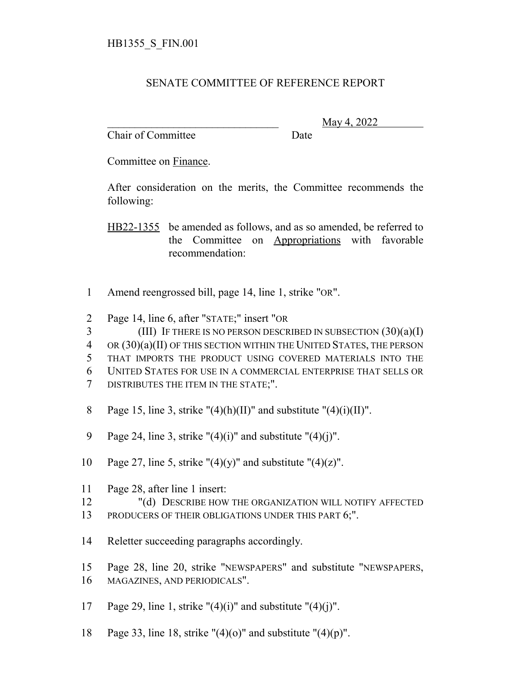## SENATE COMMITTEE OF REFERENCE REPORT

Chair of Committee Date

\_\_\_\_\_\_\_\_\_\_\_\_\_\_\_\_\_\_\_\_\_\_\_\_\_\_\_\_\_\_\_ May 4, 2022

Committee on Finance.

After consideration on the merits, the Committee recommends the following:

HB22-1355 be amended as follows, and as so amended, be referred to the Committee on Appropriations with favorable recommendation:

- 1 Amend reengrossed bill, page 14, line 1, strike "OR".
- 2 Page 14, line 6, after "STATE;" insert "OR
- $3$  (III) If THERE IS NO PERSON DESCRIBED IN SUBSECTION  $(30)(a)(I)$
- 4 OR (30)(a)(II) OF THIS SECTION WITHIN THE UNITED STATES, THE PERSON
- 5 THAT IMPORTS THE PRODUCT USING COVERED MATERIALS INTO THE
- 6 UNITED STATES FOR USE IN A COMMERCIAL ENTERPRISE THAT SELLS OR
- 7 DISTRIBUTES THE ITEM IN THE STATE;".
- 8 Page 15, line 3, strike " $(4)(h)(II)$ " and substitute " $(4)(i)(II)$ ".
- 9 Page 24, line 3, strike " $(4)(i)$ " and substitute " $(4)(i)$ ".
- 10 Page 27, line 5, strike " $(4)(y)$ " and substitute " $(4)(z)$ ".
- 11 Page 28, after line 1 insert:
- 12 "(d) DESCRIBE HOW THE ORGANIZATION WILL NOTIFY AFFECTED
- 13 PRODUCERS OF THEIR OBLIGATIONS UNDER THIS PART 6;".
- 14 Reletter succeeding paragraphs accordingly.
- 15 Page 28, line 20, strike "NEWSPAPERS" and substitute "NEWSPAPERS, 16 MAGAZINES, AND PERIODICALS".
- 17 Page 29, line 1, strike " $(4)(i)$ " and substitute " $(4)(j)$ ".
- 18 Page 33, line 18, strike " $(4)(o)$ " and substitute " $(4)(p)$ ".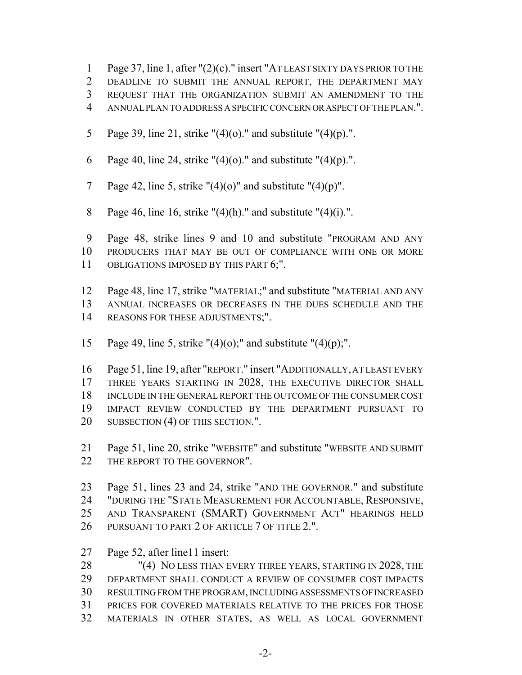- Page 37, line 1, after "(2)(c)." insert "AT LEAST SIXTY DAYS PRIOR TO THE
- DEADLINE TO SUBMIT THE ANNUAL REPORT, THE DEPARTMENT MAY
- REQUEST THAT THE ORGANIZATION SUBMIT AN AMENDMENT TO THE
- ANNUAL PLAN TO ADDRESS A SPECIFIC CONCERN OR ASPECT OF THE PLAN.".
- 5 Page 39, line 21, strike  $"(4)(o)$ ." and substitute  $"(4)(p)$ .".
- 6 Page 40, line 24, strike " $(4)(o)$ ." and substitute " $(4)(p)$ .".
- 7 Page 42, line 5, strike " $(4)(o)$ " and substitute " $(4)(p)$ ".
- 8 Page 46, line 16, strike " $(4)$ (h)." and substitute " $(4)$ (i).".

 Page 48, strike lines 9 and 10 and substitute "PROGRAM AND ANY PRODUCERS THAT MAY BE OUT OF COMPLIANCE WITH ONE OR MORE 11 OBLIGATIONS IMPOSED BY THIS PART 6;".

- Page 48, line 17, strike "MATERIAL;" and substitute "MATERIAL AND ANY ANNUAL INCREASES OR DECREASES IN THE DUES SCHEDULE AND THE REASONS FOR THESE ADJUSTMENTS;".
- 15 Page 49, line 5, strike  $"(4)(0)$ ;" and substitute  $"(4)(p)$ ;".

 Page 51, line 19, after "REPORT." insert "ADDITIONALLY, AT LEAST EVERY 17 THREE YEARS STARTING IN 2028, THE EXECUTIVE DIRECTOR SHALL INCLUDE IN THE GENERAL REPORT THE OUTCOME OF THE CONSUMER COST IMPACT REVIEW CONDUCTED BY THE DEPARTMENT PURSUANT TO 20 SUBSECTION (4) OF THIS SECTION.".

- Page 51, line 20, strike "WEBSITE" and substitute "WEBSITE AND SUBMIT 22 THE REPORT TO THE GOVERNOR".
- Page 51, lines 23 and 24, strike "AND THE GOVERNOR." and substitute "DURING THE "STATE MEASUREMENT FOR ACCOUNTABLE, RESPONSIVE, AND TRANSPARENT (SMART) GOVERNMENT ACT" HEARINGS HELD 26 PURSUANT TO PART 2 OF ARTICLE 7 OF TITLE 2.".
- Page 52, after line11 insert:

28 "(4) NO LESS THAN EVERY THREE YEARS, STARTING IN 2028, THE DEPARTMENT SHALL CONDUCT A REVIEW OF CONSUMER COST IMPACTS RESULTING FROM THE PROGRAM, INCLUDING ASSESSMENTS OF INCREASED PRICES FOR COVERED MATERIALS RELATIVE TO THE PRICES FOR THOSE MATERIALS IN OTHER STATES, AS WELL AS LOCAL GOVERNMENT